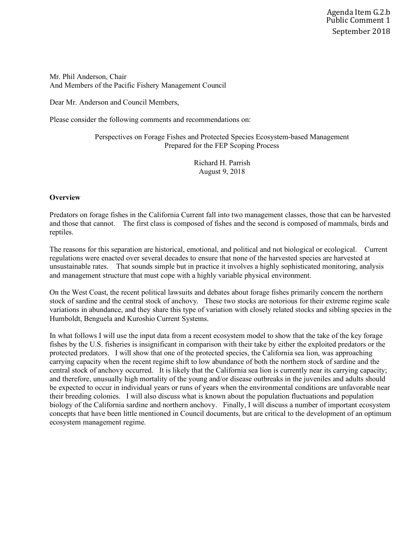Mr. Phil Anderson, Chair And Members of the Pacific Fishery Management Council

Dear Mr. Anderson and Council Members,

Please consider the following comments and recommendations on:

Perspectives on Forage Fishes and Protected Species Ecosystem-based Management Prepared for the FEP Scoping Process

> Richard H. Parrish August 9, 2018

## **Overview**

Predators on forage fishes in the California Current fall into two management classes, those that can be harvested and those that cannot. The first class is composed of fishes and the second is composed of mammals, birds and reptiles.

The reasons for this separation are historical, emotional, and political and not biological or ecological. Current regulations were enacted over several decades to ensure that none of the harvested species are harvested at unsustainable rates. That sounds simple but in practice it involves a highly sophisticated monitoring, analysis and management structure that must cope with a highly variable physical environment.

On the West Coast, the recent political lawsuits and debates about forage fishes primarily concern the northern stock of sardine and the central stock of anchovy. These two stocks are notorious for their extreme regime scale variations in abundance, and they share this type of variation with closely related stocks and sibling species in the Humboldt, Benguela and Kuroshio Current Systems.

In what follows I will use the input data from a recent ecosystem model to show that the take of the key forage fishes by the U.S. fisheries is insignificant in comparison with their take by either the exploited predators or the protected predators. I will show that one of the protected species, the California sea lion, was approaching carrying capacity when the recent regime shift to low abundance of both the northern stock of sardine and the central stock of anchovy occurred. It is likely that the California sea lion is currently near its carrying capacity; and therefore, unusually high mortality of the young and/or disease outbreaks in the juveniles and adults should be expected to occur in individual years or runs of years when the environmental conditions are unfavorable near their breeding colonies. I will also discuss what is known about the population fluctuations and population biology of the California sardine and northern anchovy. Finally, I will discuss a number of important ecosystem concepts that have been little mentioned in Council documents, but are critical to the development of an optimum ecosystem management regime.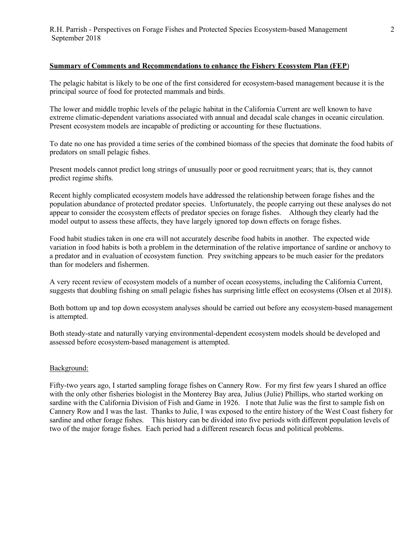## **Summary of Comments and Recommendations to enhance the Fishery Ecosystem Plan (FEP**)

The pelagic habitat is likely to be one of the first considered for ecosystem-based management because it is the principal source of food for protected mammals and birds.

The lower and middle trophic levels of the pelagic habitat in the California Current are well known to have extreme climatic-dependent variations associated with annual and decadal scale changes in oceanic circulation. Present ecosystem models are incapable of predicting or accounting for these fluctuations.

To date no one has provided a time series of the combined biomass of the species that dominate the food habits of predators on small pelagic fishes.

Present models cannot predict long strings of unusually poor or good recruitment years; that is, they cannot predict regime shifts.

Recent highly complicated ecosystem models have addressed the relationship between forage fishes and the population abundance of protected predator species. Unfortunately, the people carrying out these analyses do not appear to consider the ecosystem effects of predator species on forage fishes. Although they clearly had the model output to assess these affects, they have largely ignored top down effects on forage fishes.

Food habit studies taken in one era will not accurately describe food habits in another. The expected wide variation in food habits is both a problem in the determination of the relative importance of sardine or anchovy to a predator and in evaluation of ecosystem function. Prey switching appears to be much easier for the predators than for modelers and fishermen.

A very recent review of ecosystem models of a number of ocean ecosystems, including the California Current, suggests that doubling fishing on small pelagic fishes has surprising little effect on ecosystems (Olsen et al 2018).

Both bottom up and top down ecosystem analyses should be carried out before any ecosystem-based management is attempted.

Both steady-state and naturally varying environmental-dependent ecosystem models should be developed and assessed before ecosystem-based management is attempted.

### Background:

Fifty-two years ago, I started sampling forage fishes on Cannery Row. For my first few years I shared an office with the only other fisheries biologist in the Monterey Bay area, Julius (Julie) Phillips, who started working on sardine with the California Division of Fish and Game in 1926. I note that Julie was the first to sample fish on Cannery Row and I was the last. Thanks to Julie, I was exposed to the entire history of the West Coast fishery for sardine and other forage fishes. This history can be divided into five periods with different population levels of two of the major forage fishes. Each period had a different research focus and political problems.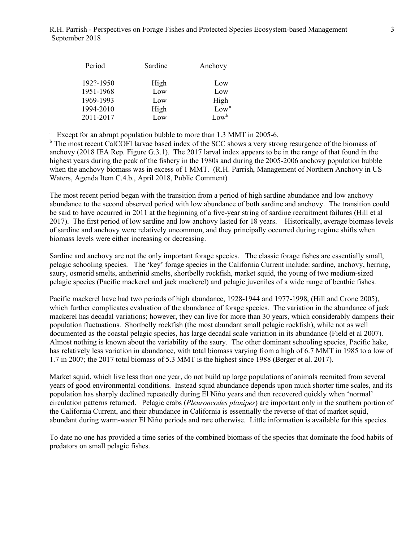| Period    | Sardine | Anchovy          |
|-----------|---------|------------------|
| 192?-1950 | High    | Low              |
| 1951-1968 | Low     | Low              |
| 1969-1993 | Low     | High             |
| 1994-2010 | High    | Low <sup>a</sup> |
| 2011-2017 | Low     | $Low^b$          |

<sup>a</sup> Except for an abrupt population bubble to more than 1.3 MMT in 2005-6.

<sup>b</sup> The most recent CalCOFI larvae based index of the SCC shows a very strong resurgence of the biomass of anchovy (2018 IEA Rep. Figure G.3.1). The 2017 larval index appears to be in the range of that found in the highest years during the peak of the fishery in the 1980s and during the 2005-2006 anchovy population bubble when the anchovy biomass was in excess of 1 MMT. (R.H. Parrish, Management of Northern Anchovy in US Waters, Agenda Item C.4.b., April 2018, Public Comment)

The most recent period began with the transition from a period of high sardine abundance and low anchovy abundance to the second observed period with low abundance of both sardine and anchovy. The transition could be said to have occurred in 2011 at the beginning of a five-year string of sardine recruitment failures (Hill et al 2017). The first period of low sardine and low anchovy lasted for 18 years. Historically, average biomass levels of sardine and anchovy were relatively uncommon, and they principally occurred during regime shifts when biomass levels were either increasing or decreasing.

Sardine and anchovy are not the only important forage species. The classic forage fishes are essentially small, pelagic schooling species. The 'key' forage species in the California Current include: sardine, anchovy, herring, saury, osmerid smelts, antherinid smelts, shortbelly rockfish, market squid, the young of two medium-sized pelagic species (Pacific mackerel and jack mackerel) and pelagic juveniles of a wide range of benthic fishes.

Pacific mackerel have had two periods of high abundance, 1928-1944 and 1977-1998, (Hill and Crone 2005), which further complicates evaluation of the abundance of forage species. The variation in the abundance of jack mackerel has decadal variations; however, they can live for more than 30 years, which considerably dampens their population fluctuations. Shortbelly rockfish (the most abundant small pelagic rockfish), while not as well documented as the coastal pelagic species, has large decadal scale variation in its abundance (Field et al 2007). Almost nothing is known about the variability of the saury. The other dominant schooling species, Pacific hake, has relatively less variation in abundance, with total biomass varying from a high of 6.7 MMT in 1985 to a low of 1.7 in 2007; the 2017 total biomass of 5.3 MMT is the highest since 1988 (Berger et al. 2017).

Market squid, which live less than one year, do not build up large populations of animals recruited from several years of good environmental conditions. Instead squid abundance depends upon much shorter time scales, and its population has sharply declined repeatedly during El Niño years and then recovered quickly when 'normal' circulation patterns returned. Pelagic crabs (*Pleuroncodes planipes*) are important only in the southern portion of the California Current, and their abundance in California is essentially the reverse of that of market squid, abundant during warm-water El Niño periods and rare otherwise. Little information is available for this species.

To date no one has provided a time series of the combined biomass of the species that dominate the food habits of predators on small pelagic fishes.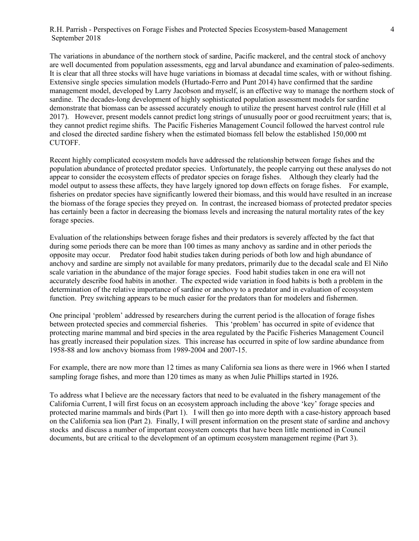The variations in abundance of the northern stock of sardine, Pacific mackerel, and the central stock of anchovy are well documented from population assessments, egg and larval abundance and examination of paleo-sediments. It is clear that all three stocks will have huge variations in biomass at decadal time scales, with or without fishing. Extensive single species simulation models (Hurtado-Ferro and Punt 2014) have confirmed that the sardine management model, developed by Larry Jacobson and myself, is an effective way to manage the northern stock of sardine. The decades-long development of highly sophisticated population assessment models for sardine demonstrate that biomass can be assessed accurately enough to utilize the present harvest control rule (Hill et al 2017). However, present models cannot predict long strings of unusually poor or good recruitment years; that is, they cannot predict regime shifts. The Pacific Fisheries Management Council followed the harvest control rule and closed the directed sardine fishery when the estimated biomass fell below the established 150,000 mt CUTOFF.

Recent highly complicated ecosystem models have addressed the relationship between forage fishes and the population abundance of protected predator species. Unfortunately, the people carrying out these analyses do not appear to consider the ecosystem effects of predator species on forage fishes. Although they clearly had the model output to assess these affects, they have largely ignored top down effects on forage fishes. For example, fisheries on predator species have significantly lowered their biomass, and this would have resulted in an increase the biomass of the forage species they preyed on. In contrast, the increased biomass of protected predator species has certainly been a factor in decreasing the biomass levels and increasing the natural mortality rates of the key forage species.

Evaluation of the relationships between forage fishes and their predators is severely affected by the fact that during some periods there can be more than 100 times as many anchovy as sardine and in other periods the opposite may occur. Predator food habit studies taken during periods of both low and high abundance of anchovy and sardine are simply not available for many predators, primarily due to the decadal scale and El Niño scale variation in the abundance of the major forage species. Food habit studies taken in one era will not accurately describe food habits in another. The expected wide variation in food habits is both a problem in the determination of the relative importance of sardine or anchovy to a predator and in evaluation of ecosystem function. Prey switching appears to be much easier for the predators than for modelers and fishermen.

One principal 'problem' addressed by researchers during the current period is the allocation of forage fishes between protected species and commercial fisheries. This 'problem' has occurred in spite of evidence that protecting marine mammal and bird species in the area regulated by the Pacific Fisheries Management Council has greatly increased their population sizes. This increase has occurred in spite of low sardine abundance from 1958-88 and low anchovy biomass from 1989-2004 and 2007-15.

For example, there are now more than 12 times as many California sea lions as there were in 1966 when I started sampling forage fishes, and more than 120 times as many as when Julie Phillips started in 1926.

To address what I believe are the necessary factors that need to be evaluated in the fishery management of the California Current, I will first focus on an ecosystem approach including the above 'key' forage species and protected marine mammals and birds (Part 1). I will then go into more depth with a case-history approach based on the California sea lion (Part 2). Finally, I will present information on the present state of sardine and anchovy stocks and discuss a number of important ecosystem concepts that have been little mentioned in Council documents, but are critical to the development of an optimum ecosystem management regime (Part 3).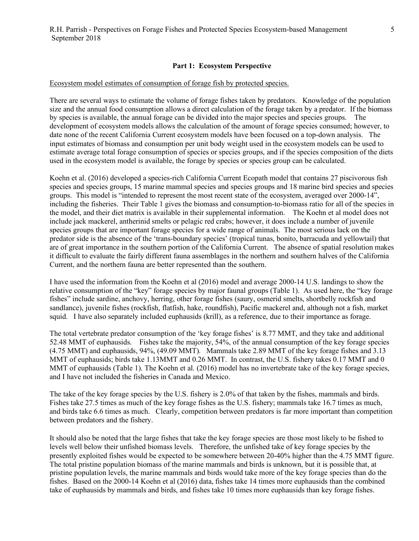## **Part 1: Ecosystem Perspective**

#### Ecosystem model estimates of consumption of forage fish by protected species.

There are several ways to estimate the volume of forage fishes taken by predators. Knowledge of the population size and the annual food consumption allows a direct calculation of the forage taken by a predator. If the biomass by species is available, the annual forage can be divided into the major species and species groups. The development of ecosystem models allows the calculation of the amount of forage species consumed; however, to date none of the recent California Current ecosystem models have been focused on a top-down analysis. The input estimates of biomass and consumption per unit body weight used in the ecosystem models can be used to estimate average total forage consumption of species or species groups, and if the species composition of the diets used in the ecosystem model is available, the forage by species or species group can be calculated.

Koehn et al. (2016) developed a species-rich California Current Ecopath model that contains 27 piscivorous fish species and species groups, 15 marine mammal species and species groups and 18 marine bird species and species groups. This model is "intended to represent the most recent state of the ecosystem, averaged over 2000-14", including the fisheries. Their Table 1 gives the biomass and consumption-to-biomass ratio for all of the species in the model, and their diet matrix is available in their supplemental information. The Koehn et al model does not include jack mackerel, antherinid smelts or pelagic red crabs; however, it does include a number of juvenile species groups that are important forage species for a wide range of animals. The most serious lack on the predator side is the absence of the 'trans-boundary species' (tropical tunas, bonito, barracuda and yellowtail) that are of great importance in the southern portion of the California Current. The absence of spatial resolution makes it difficult to evaluate the fairly different fauna assemblages in the northern and southern halves of the California Current, and the northern fauna are better represented than the southern.

I have used the information from the Koehn et al (2016) model and average 2000-14 U.S. landings to show the relative consumption of the "key" forage species by major faunal groups (Table 1). As used here, the "key forage fishes" include sardine, anchovy, herring, other forage fishes (saury, osmerid smelts, shortbelly rockfish and sandlance), juvenile fishes (rockfish, flatfish, hake, roundfish), Pacific mackerel and, although not a fish, market squid. I have also separately included euphausids (krill), as a reference, due to their importance as forage.

The total vertebrate predator consumption of the 'key forage fishes' is 8.77 MMT, and they take and additional 52.48 MMT of euphausids. Fishes take the majority, 54%, of the annual consumption of the key forage species (4.75 MMT) and euphausids, 94%, (49.09 MMT). Mammals take 2.89 MMT of the key forage fishes and 3.13 MMT of euphausids; birds take 1.13MMT and 0.26 MMT. In contrast, the U.S. fishery takes 0.17 MMT and 0 MMT of euphausids (Table 1). The Koehn et al. (2016) model has no invertebrate take of the key forage species, and I have not included the fisheries in Canada and Mexico.

The take of the key forage species by the U.S. fishery is 2.0% of that taken by the fishes, mammals and birds. Fishes take 27.5 times as much of the key forage fishes as the U.S. fishery; mammals take 16.7 times as much, and birds take 6.6 times as much. Clearly, competition between predators is far more important than competition between predators and the fishery.

It should also be noted that the large fishes that take the key forage species are those most likely to be fished to levels well below their unfished biomass levels. Therefore, the unfished take of key forage species by the presently exploited fishes would be expected to be somewhere between 20-40% higher than the 4.75 MMT figure. The total pristine population biomass of the marine mammals and birds is unknown, but it is possible that, at pristine population levels, the marine mammals and birds would take more of the key forage species than do the fishes. Based on the 2000-14 Koehn et al (2016) data, fishes take 14 times more euphausids than the combined take of euphausids by mammals and birds, and fishes take 10 times more euphausids than key forage fishes.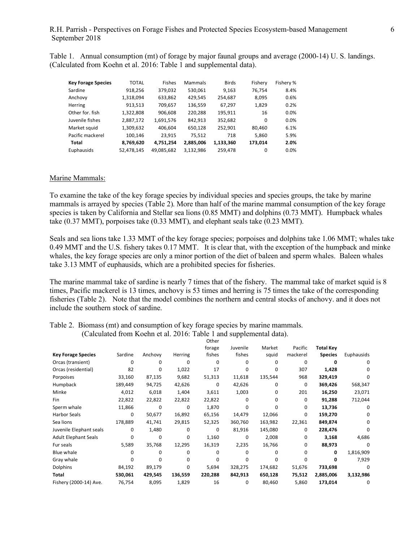Table 1. Annual consumption (mt) of forage by major faunal groups and average (2000-14) U. S. landings. (Calculated from Koehn et al. 2016: Table 1 and supplemental data).

| <b>Key Forage Species</b> | <b>TOTAL</b> | <b>Fishes</b> | Mammals   | <b>Birds</b> | Fisherv  | Fishery % |
|---------------------------|--------------|---------------|-----------|--------------|----------|-----------|
| Sardine                   | 918,256      | 379,032       | 530,061   | 9,163        | 76,754   | 8.4%      |
| Anchovy                   | 1,318,094    | 633,862       | 429,545   | 254,687      | 8,095    | 0.6%      |
| Herring                   | 913,513      | 709,657       | 136,559   | 67,297       | 1,829    | 0.2%      |
| Other for, fish           | 1,322,808    | 906,608       | 220,288   | 195,911      | 16       | 0.0%      |
| Juvenile fishes           | 2,887,172    | 1,691,576     | 842,913   | 352,682      | $\Omega$ | $0.0\%$   |
| Market squid              | 1,309,632    | 406,604       | 650,128   | 252,901      | 80,460   | 6.1%      |
| Pacific mackerel          | 100,146      | 23.915        | 75,512    | 718          | 5,860    | 5.9%      |
| Total                     | 8,769,620    | 4,751,254     | 2,885,006 | 1,133,360    | 173,014  | 2.0%      |
| Euphausids                | 52,478,145   | 49,085,682    | 3,132,986 | 259,478      | 0        | $0.0\%$   |

#### Marine Mammals:

To examine the take of the key forage species by individual species and species groups, the take by marine mammals is arrayed by species (Table 2). More than half of the marine mammal consumption of the key forage species is taken by California and Stellar sea lions (0.85 MMT) and dolphins (0.73 MMT). Humpback whales take (0.37 MMT), porpoises take (0.33 MMT), and elephant seals take (0.23 MMT).

Seals and sea lions take 1.33 MMT of the key forage species; porpoises and dolphins take 1.06 MMT; whales take 0.49 MMT and the U.S. fishery takes 0.17 MMT. It is clear that, with the exception of the humpback and minke whales, the key forage species are only a minor portion of the diet of baleen and sperm whales. Baleen whales take 3.13 MMT of euphausids, which are a prohibited species for fisheries.

The marine mammal take of sardine is nearly 7 times that of the fishery. The mammal take of market squid is 8 times, Pacific mackerel is 13 times, anchovy is 53 times and herring is 75 times the take of the corresponding fisheries (Table 2). Note that the model combines the northern and central stocks of anchovy. and it does not include the southern stock of sardine.

|                             |         |          |              | UUIEI   |              |              |             |                  |            |
|-----------------------------|---------|----------|--------------|---------|--------------|--------------|-------------|------------------|------------|
|                             |         |          |              | forage  | Juvenile     | Market       | Pacific     | <b>Total Key</b> |            |
| <b>Key Forage Species</b>   | Sardine | Anchovy  | Herring      | fishes  | fishes       | squid        | mackerel    | <b>Species</b>   | Euphausids |
| Orcas (transient)           | 0       | 0        | 0            | 0       | <sup>0</sup> | 0            | $\Omega$    | O                | 0          |
| Orcas (residential)         | 82      | 0        | 1,022        | 17      | <sup>0</sup> | 0            | 307         | 1,428            | o          |
| Porpoises                   | 33,160  | 87,135   | 9,682        | 51,313  | 11,618       | 135,544      | 968         | 329,419          | o          |
| Humpback                    | 189,449 | 94,725   | 42,626       | 0       | 42,626       | 0            | 0           | 369,426          | 568,347    |
| Minke                       | 4,012   | 6,018    | 1,404        | 3,611   | 1,003        | 0            | 201         | 16,250           | 23,071     |
| Fin                         | 22,822  | 22,822   | 22,822       | 22,822  | 0            | <sup>0</sup> | $\Omega$    | 91,288           | 712,044    |
| Sperm whale                 | 11,866  | 0        | 0            | 1,870   | $\Omega$     | 0            | $\mathbf 0$ | 13,736           | 0          |
| <b>Harbor Seals</b>         | 0       | 50,677   | 16,892       | 65,156  | 14,479       | 12,066       | 0           | 159,270          | 0          |
| Sea lions                   | 178,889 | 41,741   | 29,815       | 52,325  | 360,760      | 163,982      | 22,361      | 849,874          | 0          |
| Juvenile Elephant seals     | 0       | 1,480    | 0            | 0       | 81,916       | 145,080      | 0           | 228,476          | 0          |
| <b>Adult Elephant Seals</b> | 0       | 0        | 0            | 1,160   | 0            | 2,008        | 0           | 3,168            | 4,686      |
| Fur seals                   | 5,589   | 35,768   | 12,295       | 16,319  | 2,235        | 16,766       | 0           | 88,973           | 0          |
| Blue whale                  |         | 0        | 0            | 0       | <sup>0</sup> | 0            | $\Omega$    | 0                | 1,816,909  |
| Gray whale                  | n       | $\Omega$ | <sup>0</sup> | 0       | <sup>0</sup> | ŋ            | $\Omega$    | 0                | 7,929      |
| Dolphins                    | 84,192  | 89,179   | 0            | 5,694   | 328,275      | 174,682      | 51,676      | 733,698          | 0          |
| Total                       | 530,061 | 429,545  | 136,559      | 220,288 | 842,913      | 650,128      | 75,512      | 2,885,006        | 3,132,986  |
| Fishery (2000-14) Ave.      | 76,754  | 8,095    | 1,829        | 16      | 0            | 80,460       | 5,860       | 173,014          | 0          |

Table 2. Biomass (mt) and consumption of key forage species by marine mammals. (Calculated from Koehn et al. 2016: Table 1 and supplemental data).  $O<sub>thor</sub>$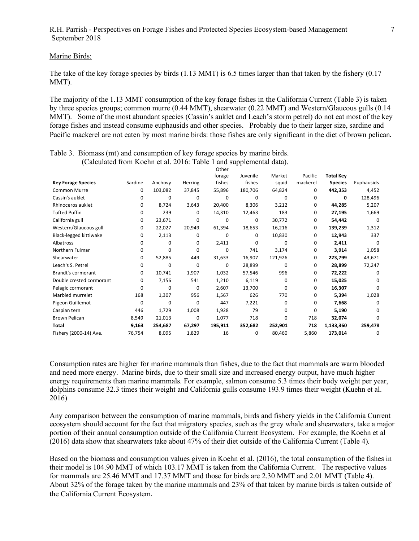#### Marine Birds:

The take of the key forage species by birds (1.13 MMT) is 6.5 times larger than that taken by the fishery (0.17 MMT).

The majority of the 1.13 MMT consumption of the key forage fishes in the California Current (Table 3) is taken by three species groups; common murre (0.44 MMT), shearwater (0.22 MMT) and Western/Glaucous gulls (0.14 MMT). Some of the most abundant species (Cassin's auklet and Leach's storm petrel) do not eat most of the key forage fishes and instead consume euphausids and other species. Probably due to their larger size, sardine and Pacific mackerel are not eaten by most marine birds: those fishes are only significant in the diet of brown pelican. 

|                           |         |          |              | Other   |          |          |          |                  |              |
|---------------------------|---------|----------|--------------|---------|----------|----------|----------|------------------|--------------|
|                           |         |          |              | forage  | Juvenile | Market   | Pacific  | <b>Total Key</b> |              |
| <b>Key Forage Species</b> | Sardine | Anchovy  | Herring      | fishes  | fishes   | squid    | mackerel | <b>Species</b>   | Euphausids   |
| <b>Common Murre</b>       | 0       | 103,082  | 37,845       | 55,896  | 180,706  | 64,824   | 0        | 442,353          | 4,452        |
| Cassin's auklet           | 0       | 0        | $\Omega$     | 0       | 0        | $\Omega$ | 0        | 0                | 128,496      |
| Rhinoceros auklet         | 0       | 8,724    | 3,643        | 20,400  | 8,306    | 3,212    | 0        | 44,285           | 5,207        |
| <b>Tufted Puffin</b>      | 0       | 239      | 0            | 14,310  | 12,463   | 183      | 0        | 27,195           | 1,669        |
| California gull           | 0       | 23,671   | $\Omega$     | 0       | 0        | 30,772   | 0        | 54,442           | $\Omega$     |
| Western/Glaucous gull     | 0       | 22,027   | 20,949       | 61,394  | 18,653   | 16,216   | 0        | 139,239          | 1,312        |
| Black-legged kittiwake    | 0       | 2,113    | 0            | 0       | 0        | 10,830   | 0        | 12,943           | 337          |
| Albatross                 | 0       | 0        | 0            | 2,411   | 0        | $\Omega$ | 0        | 2,411            | $\Omega$     |
| Northern Fulmar           | 0       | 0        | 0            | 0       | 741      | 3,174    | 0        | 3,914            | 1,058        |
| Shearwater                | 0       | 52,885   | 449          | 31,633  | 16,907   | 121,926  | 0        | 223,799          | 43,671       |
| Leach's S. Petrel         | 0       | 0        | $\Omega$     | 0       | 28,899   | $\Omega$ | 0        | 28,899           | 72,247       |
| Brandt's cormorant        | 0       | 10,741   | 1,907        | 1,032   | 57,546   | 996      | 0        | 72,222           | 0            |
| Double crested cormorant  | 0       | 7,156    | 541          | 1,210   | 6,119    | $\Omega$ | 0        | 15,025           | 0            |
| Pelagic cormorant         | 0       | $\Omega$ | $\mathbf{0}$ | 2,607   | 13,700   | $\Omega$ | 0        | 16,307           | n            |
| Marbled murrelet          | 168     | 1,307    | 956          | 1,567   | 626      | 770      | 0        | 5,394            | 1,028        |
| Pigeon Guillemot          | 0       | 0        | 0            | 447     | 7,221    | 0        | 0        | 7,668            | 0            |
| Caspian tern              | 446     | 1,729    | 1,008        | 1,928   | 79       | $\Omega$ | 0        | 5,190            | 0            |
| <b>Brown Pelican</b>      | 8,549   | 21,013   | $\Omega$     | 1,077   | 718      | $\Omega$ | 718      | 32,074           | <sup>0</sup> |
| <b>Total</b>              | 9,163   | 254,687  | 67,297       | 195,911 | 352,682  | 252,901  | 718      | 1,133,360        | 259,478      |
| Fishery (2000-14) Ave.    | 76,754  | 8,095    | 1,829        | 16      | 0        | 80,460   | 5,860    | 173,014          | 0            |

Table 3. Biomass (mt) and consumption of key forage species by marine birds. (Calculated from Koehn et al. 2016: Table 1 and supplemental data).

Consumption rates are higher for marine mammals than fishes, due to the fact that mammals are warm blooded and need more energy. Marine birds, due to their small size and increased energy output, have much higher energy requirements than marine mammals. For example, salmon consume 5.3 times their body weight per year, dolphins consume 32.3 times their weight and California gulls consume 193.9 times their weight (Kuehn et al. 2016)

Any comparison between the consumption of marine mammals, birds and fishery yields in the California Current ecosystem should account for the fact that migratory species, such as the grey whale and shearwaters, take a major portion of their annual consumption outside of the California Current Ecosystem. For example, the Koehn et al (2016) data show that shearwaters take about 47% of their diet outside of the California Current (Table 4).

Based on the biomass and consumption values given in Koehn et al. (2016), the total consumption of the fishes in their model is 104.90 MMT of which 103.17 MMT is taken from the California Current. The respective values for mammals are 25.46 MMT and 17.37 MMT and those for birds are 2.30 MMT and 2.01 MMT (Table 4). About 32% of the forage taken by the marine mammals and 23% of that taken by marine birds is taken outside of the California Current Ecosystem.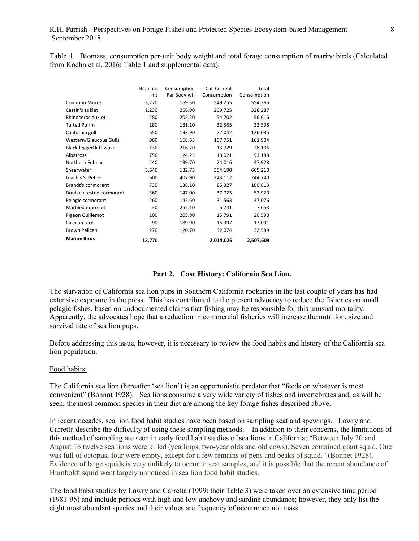Table 4. Biomass, consumption per-unit body weight and total forage consumption of marine birds (Calculated from Koehn et al. 2016: Table 1 and supplemental data).

|                           | <b>Biomass</b> | Consumption  | Cal. Current | Total       |
|---------------------------|----------------|--------------|--------------|-------------|
|                           | mt             | Per Body wt. | Consumption  | Consumption |
| Common Murre              | 3,270          | 169.50       | 549,255      | 554,265     |
| Cassin's auklet           | 1,230          | 266.90       | 269,725      | 328,287     |
| Rhinoceros auklet         | 280            | 202.20       | 54,702       | 56,616      |
| <b>Tufted Puffin</b>      | 180            | 181.10       | 32,565       | 32,598      |
| California gull           | 650            | 193.90       | 72,042       | 126,035     |
| Western/Glaucous Gulls    | 960            | 168.65       | 157,751      | 161,904     |
| Black-legged kittiwake    | 130            | 216.20       | 13,729       | 28,106      |
| Albatross                 | 750            | 124.25       | 18,021       | 93,188      |
| Northern Fulmar           | 240            | 199.70       | 24,016       | 47,928      |
| Shearwater                | 3,640          | 182.75       | 354,190      | 665,210     |
| Leach's S. Petrel         | 600            | 407.90       | 243,112      | 244,740     |
| <b>Brandt's cormorant</b> | 730            | 138.10       | 85,327       | 100,813     |
| Double crested cormorant  | 360            | 147.00       | 37,023       | 52,920      |
| Pelagic cormorant         | 260            | 142.60       | 31,563       | 37,076      |
| Marbled murrelet          | 30             | 255.10       | 6,741        | 7,653       |
| Pigeon Guillemot          | 100            | 205.90       | 15,791       | 20,590      |
| Caspian tern              | 90             | 189.90       | 16,397       | 17,091      |
| <b>Brown Pelican</b>      | 270            | 120.70       | 32,074       | 32,589      |
| <b>Marine Birds</b>       | 13,770         |              | 2,014,026    | 2,607,609   |

## **Part 2. Case History: California Sea Lion.**

The starvation of California sea lion pups in Southern California rookeries in the last couple of years has had extensive exposure in the press. This has contributed to the present advocacy to reduce the fisheries on small pelagic fishes, based on undocumented claims that fishing may be responsible for this unusual mortality. Apparently, the advocates hope that a reduction in commercial fisheries will increase the nutrition, size and survival rate of sea lion pups.

Before addressing this issue, however, it is necessary to review the food habits and history of the California sea lion population.

#### Food habits:

The California sea lion (hereafter 'sea lion') is an opportunistic predator that "feeds on whatever is most convenient" (Bonnot 1928). Sea lions consume a very wide variety of fishes and invertebrates and, as will be seen, the most common species in their diet are among the key forage fishes described above.

In recent decades, sea lion food habit studies have been based on sampling scat and spewings. Lowry and Carretta describe the difficulty of using these sampling methods. In addition to their concerns, the limitations of this method of sampling are seen in early food habit studies of sea lions in California; "Between July 20 and August 16 twelve sea lions were killed (yearlings, two-year olds and old cows). Seven contained giant squid. One was full of octopus, four were empty, except for a few remains of pens and beaks of squid." (Bonnet 1928). Evidence of large squids is very unlikely to occur in scat samples, and it is possible that the recent abundance of Humboldt squid went largely unnoticed in sea lion food habit studies. 

The food habit studies by Lowry and Carretta (1999: their Table 3) were taken over an extensive time period (1981-95) and include periods with high and low anchovy and sardine abundance; however, they only list the eight most abundant species and their values are frequency of occurrence not mass.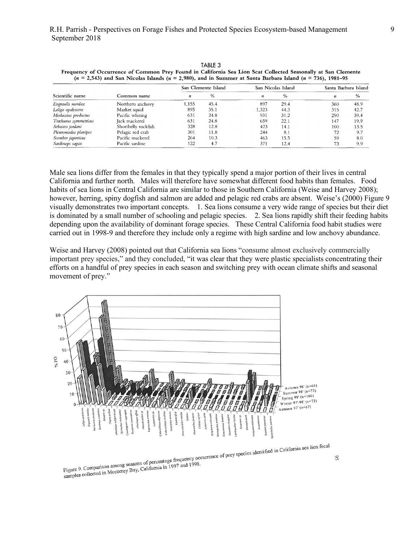|                       | Common name         |       | San Clemente Island |      | San Nicolas Island | Santa Barbara Island |      |
|-----------------------|---------------------|-------|---------------------|------|--------------------|----------------------|------|
| Scientific name       |                     | n     | $\%$                | п    | $\frac{9}{0}$      | n                    | $\%$ |
| Engraulis mordax      | Northern anchovy    | 1,155 | 45.4                | 897  | 29.4               | 360                  | 48.9 |
| Loligo opalescens     | Market squid        | 895   | 35.1                | .323 | 44.3               | 315                  | 42.7 |
| Merluccius productus  | Pacific whiting     | 631   | 24.8                | 931  | 31.2               | 290                  | 39.4 |
| Trachurus symmetricus | Jack mackerel       | 631   | 24.8                | 659  | 22.1               | 147                  | 19.9 |
| Sebastes jordani      | Shortbelly rockfish | 328   | 12.8                | 423  | 14.1               | 100                  | 13.5 |
| Pleuroncodes planipes | Pelagic red crab    | 301   | 11.8                | 244  | 8.1                | 72                   | 9.7  |
| Scomber japonicus     | Pacific mackerel    | 264   | 10.3                | 463  | 15.5               | 59                   | 8.0  |
| Sardinops sagax       | Pacific sardine     | 122   | 4.7                 | 371  | 12.4               | 73                   | 9.9  |

TABLE 3 **Frequency of Occurrence of Common Prey Found in California Sea Lion Scat Collected Seasonally at San Clemente (n** = **2,543) and San Nicolas Islands (n** = **2,980), and in Summer at Santa Barbara Island (n** = **736), 1981-95** 

Male sea lions differ from the females in that they typically spend a major portion of their lives in central California and further north. Males will therefore have somewhat different food habits than females. Food earnorma and rattific norm. That will interest the some what anterest rood habits than remarcs. Tood habits of sea lions in Central California are similar to those in Southern California (Weise and Harvey 2008); however, herring, spiny dogfish and salmon are added and pelagic red crabs are absent. Weise's (2000) Figure 9 visually demonstrates two important concepts. 1. Sea lions consume a very wide range of species but their diet is dominated by a small number of schooling and pelagic species. 2. Sea lions rapidly shift their feeding habits depending upon the availability of dominant forage species. These Central California food habit studies were carried out in 1998-9 and therefore they include only a regime with high sardine and low anchovy abundance. abits of sea hons in Central Cambrina are similar to  $\mathcal{L}$  and  $\mathcal{L}$  and  $\mathcal{L}$  for each collection to the test collection to the test collection to the set **Example 1998**<br>Social Southern Colifornic *(Weige and Harvey 2008* jack mackerel *(Euchurus symmetricus);* shortbelly rockfish egime with high sardine and low anchovy ah  $S_{\text{S}}$  smoothed seasonal percent occurrence index data in-dimensional in-

Weise and Harvey (2008) pointed out that California sea lions "consume almost exclusively commercially important prey species," and they concluded, "it was clear that they were plastic specialists concentrating their efforts on a handful of prey species in each season and switching prey with ocean climate shifts and seasonal movement of prey." $\blacksquare$  $\frac{1}{100}$  and fractor  $(2000)$  pointed but that Camponic tions (autumn 1989 at SCI and winter 1990 at SCI).  $d$ ied fewer squid in sea lionstead in sea lions and immediate during and immediate during and immediate during and immediate during and immediate during and immediate during and immediate during and immediate during and der moderation and severe Executively commercially



Figure 9. Comparison among seasons of percentage requese your<br>samples collected in Monterey Bay, California in 1997 and 1998.

S6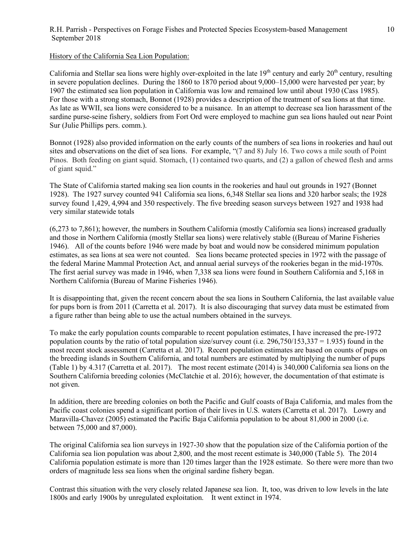## History of the California Sea Lion Population:

California and Stellar sea lions were highly over-exploited in the late  $19<sup>th</sup>$  century and early  $20<sup>th</sup>$  century, resulting in severe population declines. During the 1860 to 1870 period about 9,000–15,000 were harvested per year; by 1907 the estimated sea lion population in California was low and remained low until about 1930 (Cass 1985). For those with a strong stomach, Bonnot (1928) provides a description of the treatment of sea lions at that time. As late as WWII, sea lions were considered to be a nuisance. In an attempt to decrease sea lion harassment of the sardine purse-seine fishery, soldiers from Fort Ord were employed to machine gun sea lions hauled out near Point Sur (Julie Phillips pers. comm.).

Bonnot (1928) also provided information on the early counts of the numbers of sea lions in rookeries and haul out sites and observations on the diet of sea lions. For example, "(7 and 8) July 16. Two cows a mile south of Point Pinos. Both feeding on giant squid. Stomach, (1) contained two quarts, and (2) a gallon of chewed flesh and arms of giant squid."

The State of California started making sea lion counts in the rookeries and haul out grounds in 1927 (Bonnet 1928). The 1927 survey counted 941 California sea lions, 6,348 Stellar sea lions and 320 harbor seals; the 1928 survey found 1,429, 4,994 and 350 respectively. The five breeding season surveys between 1927 and 1938 had very similar statewide totals

(6,273 to 7,861); however, the numbers in Southern California (mostly California sea lions) increased gradually and those in Northern California (mostly Stellar sea lions) were relatively stable ((Bureau of Marine Fisheries 1946). All of the counts before 1946 were made by boat and would now be considered minimum population estimates, as sea lions at sea were not counted. Sea lions became protected species in 1972 with the passage of the federal Marine Mammal Protection Act, and annual aerial surveys of the rookeries began in the mid-1970s. The first aerial survey was made in 1946, when 7,338 sea lions were found in Southern California and 5,168 in Northern California (Bureau of Marine Fisheries 1946).

It is disappointing that, given the recent concern about the sea lions in Southern California, the last available value for pups born is from 2011 (Carretta et al. 2017). It is also discouraging that survey data must be estimated from a figure rather than being able to use the actual numbers obtained in the surveys.

To make the early population counts comparable to recent population estimates, I have increased the pre-1972 population counts by the ratio of total population size/survey count (i.e. 296,750/153,337 = 1.935) found in the most recent stock assessment (Carretta et al. 2017). Recent population estimates are based on counts of pups on the breeding islands in Southern California, and total numbers are estimated by multiplying the number of pups (Table 1) by 4.317 (Carretta et al. 2017). The most recent estimate (2014) is 340,000 California sea lions on the Southern California breeding colonies (McClatchie et al. 2016); however, the documentation of that estimate is not given.

In addition, there are breeding colonies on both the Pacific and Gulf coasts of Baja California, and males from the Pacific coast colonies spend a significant portion of their lives in U.S. waters (Carretta et al. 2017). Lowry and Maravilla-Chavez (2005) estimated the Pacific Baja California population to be about 81,000 in 2000 (i.e. between 75,000 and 87,000).

The original California sea lion surveys in 1927-30 show that the population size of the California portion of the California sea lion population was about 2,800, and the most recent estimate is 340,000 (Table 5). The 2014 California population estimate is more than 120 times larger than the 1928 estimate. So there were more than two orders of magnitude less sea lions when the original sardine fishery began.

Contrast this situation with the very closely related Japanese sea lion. It, too, was driven to low levels in the late 1800s and early 1900s by unregulated exploitation. It went extinct in 1974.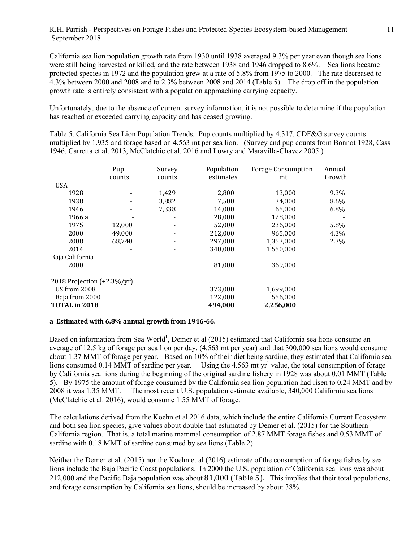California sea lion population growth rate from 1930 until 1938 averaged 9.3% per year even though sea lions were still being harvested or killed, and the rate between 1938 and 1946 dropped to 8.6%. Sea lions became protected species in 1972 and the population grew at a rate of 5.8% from 1975 to 2000. The rate decreased to 4.3% between 2000 and 2008 and to 2.3% between 2008 and 2014 (Table 5). The drop off in the population growth rate is entirely consistent with a population approaching carrying capacity.

Unfortunately, due to the absence of current survey information, it is not possible to determine if the population has reached or exceeded carrying capacity and has ceased growing.

Table 5. California Sea Lion Population Trends. Pup counts multiplied by 4.317, CDF&G survey counts multiplied by 1.935 and forage based on 4.563 mt per sea lion. (Survey and pup counts from Bonnot 1928, Cass 1946, Carretta et al. 2013, McClatchie et al. 2016 and Lowry and Maravilla-Chavez 2005.)

|                               | Pup    | Survey | Population | <b>Forage Consumption</b> | Annual |
|-------------------------------|--------|--------|------------|---------------------------|--------|
|                               | counts | counts | estimates  | mt                        | Growth |
| <b>USA</b>                    |        |        |            |                           |        |
| 1928                          |        | 1,429  | 2,800      | 13,000                    | 9.3%   |
| 1938                          |        | 3,882  | 7,500      | 34,000                    | 8.6%   |
| 1946                          |        | 7.338  | 14,000     | 65,000                    | 6.8%   |
| 1966 a                        |        |        | 28,000     | 128,000                   |        |
| 1975                          | 12,000 |        | 52,000     | 236,000                   | 5.8%   |
| 2000                          | 49.000 |        | 212,000    | 965,000                   | 4.3%   |
| 2008                          | 68,740 |        | 297,000    | 1,353,000                 | 2.3%   |
| 2014                          |        |        | 340,000    | 1,550,000                 |        |
| Baja California               |        |        |            |                           |        |
| 2000                          |        |        | 81,000     | 369,000                   |        |
| 2018 Projection $(+2.3\%/yr)$ |        |        |            |                           |        |
| US from 2008                  |        |        | 373,000    | 1,699,000                 |        |
| Baja from 2000                |        |        | 122,000    | 556,000                   |        |
| TOTAL in 2018                 |        |        | 494.000    | 2,256,000                 |        |

#### a Estimated with 6.8% annual growth from 1946-66.

Based on information from Sea World<sup>1</sup>, Demer et al (2015) estimated that California sea lions consume an average of 12.5 kg of forage per sea lion per day, (4.563 mt per year) and that 300,000 sea lions would consume about 1.37 MMT of forage per year. Based on 10% of their diet being sardine, they estimated that California sea lions consumed 0.14 MMT of sardine per year. Using the 4.563 mt  $vr<sup>1</sup>$  value, the total consumption of forage by California sea lions during the beginning of the original sardine fishery in 1928 was about 0.01 MMT (Table 5). By 1975 the amount of forage consumed by the California sea lion population had risen to 0.24 MMT and by 2008 it was 1.35 MMT. The most recent U.S. population estimate available, 340,000 California sea lions (McClatchie et al. 2016), would consume 1.55 MMT of forage.

The calculations derived from the Koehn et al 2016 data, which include the entire California Current Ecosystem and both sea lion species, give values about double that estimated by Demer et al. (2015) for the Southern California region. That is, a total marine mammal consumption of 2.87 MMT forage fishes and 0.53 MMT of sardine with 0.18 MMT of sardine consumed by sea lions (Table 2).

Neither the Demer et al. (2015) nor the Koehn et al (2016) estimate of the consumption of forage fishes by sea lions include the Baja Pacific Coast populations. In 2000 the U.S. population of California sea lions was about 212,000 and the Pacific Baja population was about  $81,000$  (Table 5). This implies that their total populations, and forage consumption by California sea lions, should be increased by about 38%.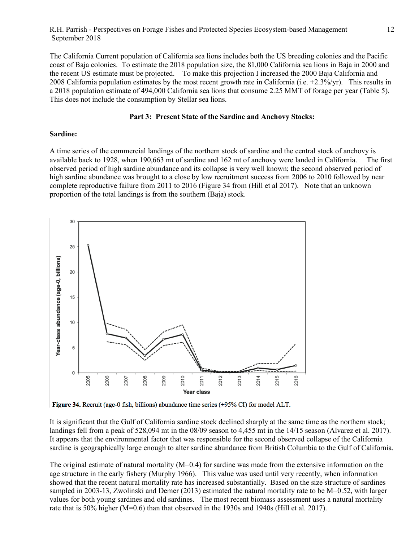The California Current population of California sea lions includes both the US breeding colonies and the Pacific coast of Baja colonies. To estimate the 2018 population size, the 81,000 California sea lions in Baja in 2000 and the recent US estimate must be projected. To make this projection I increased the 2000 Baja California and 2008 California population estimates by the most recent growth rate in California (i.e. +2.3%/yr). This results in a 2018 population estimate of 494,000 California sea lions that consume 2.25 MMT of forage per year (Table 5). This does not include the consumption by Stellar sea lions.

#### **Part 3: Present State of the Sardine and Anchovy Stocks:**

#### **Sardine:**

A time series of the commercial landings of the northern stock of sardine and the central stock of anchovy is available back to 1928, when 190,663 mt of sardine and 162 mt of anchovy were landed in California. The first observed period of high sardine abundance and its collapse is very well known; the second observed period of high sardine abundance was brought to a close by low recruitment success from 2006 to 2010 followed by near complete reproductive failure from 2011 to 2016 (Figure 34 from (Hill et al 2017). Note that an unknown proportion of the total landings is from the southern (Baja) stock.



Figure 34. Recruit (age-0 fish, billions) abundance time series  $(\pm 95\% \text{ CI})$  for model ALT.

It is significant that the Gulf of California sardine stock declined sharply at the same time as the northern stock; landings fell from a peak of 528,094 mt in the 08/09 season to 4,455 mt in the 14/15 season (Alvarez et al. 2017). It appears that the environmental factor that was responsible for the second observed collapse of the California sardine is geographically large enough to alter sardine abundance from British Columbia to the Gulf of California.

The original estimate of natural mortality (M=0.4) for sardine was made from the extensive information on the age structure in the early fishery (Murphy 1966). This value was used until very recently, when information showed that the recent natural mortality rate has increased substantially. Based on the size structure of sardines sampled in 2003-13, Zwolinski and Demer (2013) estimated the natural mortality rate to be M=0.52, with larger values for both young sardines and old sardines. The most recent biomass assessment uses a natural mortality rate that is 50% higher (M=0.6) than that observed in the 1930s and 1940s (Hill et al. 2017).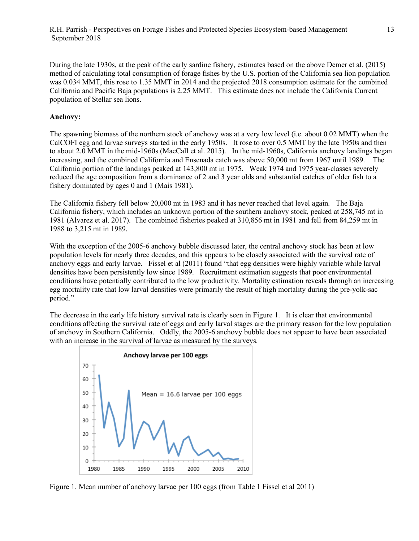During the late 1930s, at the peak of the early sardine fishery, estimates based on the above Demer et al. (2015) method of calculating total consumption of forage fishes by the U.S. portion of the California sea lion population was 0.034 MMT, this rose to 1.35 MMT in 2014 and the projected 2018 consumption estimate for the combined California and Pacific Baja populations is 2.25 MMT. This estimate does not include the California Current population of Stellar sea lions.

## **Anchovy:**

The spawning biomass of the northern stock of anchovy was at a very low level (i.e. about 0.02 MMT) when the CalCOFI egg and larvae surveys started in the early 1950s. It rose to over 0.5 MMT by the late 1950s and then to about 2.0 MMT in the mid-1960s (MacCall et al. 2015). In the mid-1960s, California anchovy landings began increasing, and the combined California and Ensenada catch was above 50,000 mt from 1967 until 1989. The California portion of the landings peaked at 143,800 mt in 1975. Weak 1974 and 1975 year-classes severely reduced the age composition from a dominance of 2 and 3 year olds and substantial catches of older fish to a fishery dominated by ages 0 and 1 (Mais 1981).

The California fishery fell below 20,000 mt in 1983 and it has never reached that level again. The Baja California fishery, which includes an unknown portion of the southern anchovy stock, peaked at 258,745 mt in 1981 (Alvarez et al. 2017). The combined fisheries peaked at 310,856 mt in 1981 and fell from 84,259 mt in 1988 to 3,215 mt in 1989.

With the exception of the 2005-6 anchovy bubble discussed later, the central anchovy stock has been at low population levels for nearly three decades, and this appears to be closely associated with the survival rate of anchovy eggs and early larvae. Fissel et al (2011) found "that egg densities were highly variable while larval densities have been persistently low since 1989. Recruitment estimation suggests that poor environmental conditions have potentially contributed to the low productivity. Mortality estimation reveals through an increasing egg mortality rate that low larval densities were primarily the result of high mortality during the pre-yolk-sac period."

The decrease in the early life history survival rate is clearly seen in Figure 1. It is clear that environmental conditions affecting the survival rate of eggs and early larval stages are the primary reason for the low population of anchovy in Southern California. Oddly, the 2005-6 anchovy bubble does not appear to have been associated with an increase in the survival of larvae as measured by the surveys.



Figure 1. Mean number of anchovy larvae per 100 eggs (from Table 1 Fissel et al 2011)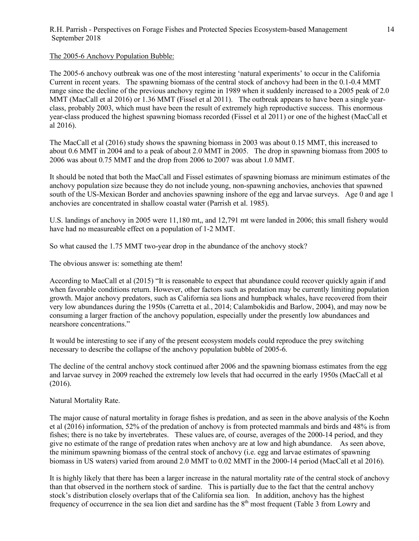The 2005-6 Anchovy Population Bubble:

The 2005-6 anchovy outbreak was one of the most interesting 'natural experiments' to occur in the California Current in recent years. The spawning biomass of the central stock of anchovy had been in the 0.1-0.4 MMT range since the decline of the previous anchovy regime in 1989 when it suddenly increased to a 2005 peak of 2.0 MMT (MacCall et al 2016) or 1.36 MMT (Fissel et al 2011). The outbreak appears to have been a single yearclass, probably 2003, which must have been the result of extremely high reproductive success. This enormous year-class produced the highest spawning biomass recorded (Fissel et al 2011) or one of the highest (MacCall et al 2016).

The MacCall et al (2016) study shows the spawning biomass in 2003 was about 0.15 MMT, this increased to about 0.6 MMT in 2004 and to a peak of about 2.0 MMT in 2005. The drop in spawning biomass from 2005 to 2006 was about 0.75 MMT and the drop from 2006 to 2007 was about 1.0 MMT.

It should be noted that both the MacCall and Fissel estimates of spawning biomass are minimum estimates of the anchovy population size because they do not include young, non-spawning anchovies, anchovies that spawned south of the US-Mexican Border and anchovies spawning inshore of the egg and larvae surveys. Age 0 and age 1 anchovies are concentrated in shallow coastal water (Parrish et al. 1985).

U.S. landings of anchovy in 2005 were 11,180 mt,, and 12,791 mt were landed in 2006; this small fishery would have had no measureable effect on a population of 1-2 MMT.

So what caused the 1.75 MMT two-year drop in the abundance of the anchovy stock?

The obvious answer is: something ate them!

According to MacCall et al (2015) "It is reasonable to expect that abundance could recover quickly again if and when favorable conditions return. However, other factors such as predation may be currently limiting population growth. Major anchovy predators, such as California sea lions and humpback whales, have recovered from their very low abundances during the 1950s (Carretta et al., 2014; Calambokidis and Barlow, 2004), and may now be consuming a larger fraction of the anchovy population, especially under the presently low abundances and nearshore concentrations."

It would be interesting to see if any of the present ecosystem models could reproduce the prey switching necessary to describe the collapse of the anchovy population bubble of 2005-6.

The decline of the central anchovy stock continued after 2006 and the spawning biomass estimates from the egg and larvae survey in 2009 reached the extremely low levels that had occurred in the early 1950s (MacCall et al (2016).

Natural Mortality Rate.

The major cause of natural mortality in forage fishes is predation, and as seen in the above analysis of the Koehn et al (2016) information, 52% of the predation of anchovy is from protected mammals and birds and 48% is from fishes; there is no take by invertebrates. These values are, of course, averages of the 2000-14 period, and they give no estimate of the range of predation rates when anchovy are at low and high abundance. As seen above, the minimum spawning biomass of the central stock of anchovy (i.e. egg and larvae estimates of spawning biomass in US waters) varied from around 2.0 MMT to 0.02 MMT in the 2000-14 period (MacCall et al 2016).

It is highly likely that there has been a larger increase in the natural mortality rate of the central stock of anchovy than that observed in the northern stock of sardine. This is partially due to the fact that the central anchovy stock's distribution closely overlaps that of the California sea lion. In addition, anchovy has the highest frequency of occurrence in the sea lion diet and sardine has the  $8<sup>th</sup>$  most frequent (Table 3 from Lowry and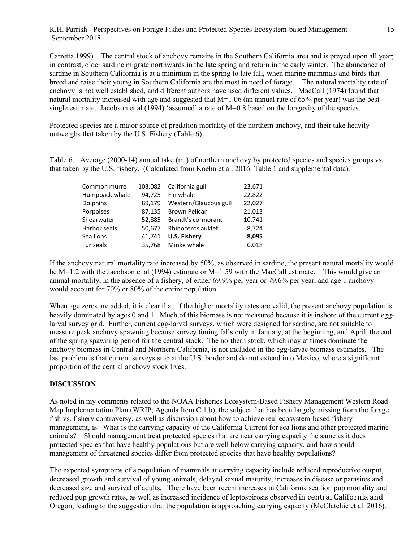Carretta 1999). The central stock of anchovy remains in the Southern California area and is preyed upon all year; in contrast, older sardine migrate northwards in the late spring and return in the early winter. The abundance of sardine in Southern California is at a minimum in the spring to late fall, when marine mammals and birds that breed and raise their young in Southern California are the most in need of forage. The natural mortality rate of anchovy is not well established, and different authors have used different values. MacCall (1974) found that natural mortality increased with age and suggested that  $M=1.06$  (an annual rate of 65% per year) was the best single estimate. Jacobson et al (1994) 'assumed' a rate of  $M=0.8$  based on the longevity of the species.

Protected species are a major source of predation mortality of the northern anchovy, and their take heavily outweighs that taken by the U.S. Fishery (Table 6).

Table 6. Average (2000-14) annual take (mt) of northern anchovy by protected species and species groups vs. that taken by the U.S. fishery. (Calculated from Koehn et al. 2016: Table 1 and supplemental data).

| Common murre   | 103,082 |                       | 23,671 |
|----------------|---------|-----------------------|--------|
|                |         | California gull       |        |
| Humpback whale | 94,725  | Fin whale             | 22,822 |
| Dolphins       | 89,179  | Western/Glaucous gull | 22,027 |
| Porpoises      | 87,135  | <b>Brown Pelican</b>  | 21,013 |
| Shearwater     | 52,885  | Brandt's cormorant    | 10,741 |
| Harbor seals   | 50,677  | Rhinoceros auklet     | 8,724  |
| Sea lions      | 41,741  | <b>U.S. Fishery</b>   | 8,095  |
| Fur seals      | 35.768  | Minke whale           | 6,018  |
|                |         |                       |        |

If the anchovy natural mortality rate increased by 50%, as observed in sardine, the present natural mortality would be M=1.2 with the Jacobson et al (1994) estimate or M=1.59 with the MacCall estimate. This would give an annual mortality, in the absence of a fishery, of either 69.9% per year or 79.6% per year, and age 1 anchovy would account for 70% or 80% of the entire population.

When age zeros are added, it is clear that, if the higher mortality rates are valid, the present anchovy population is heavily dominated by ages 0 and 1. Much of this biomass is not measured because it is inshore of the current egglarval survey grid. Further, current egg-larval surveys, which were designed for sardine, are not suitable to measure peak anchovy spawning because survey timing falls only in January, at the beginning, and April, the end of the spring spawning period for the central stock. The northern stock, which may at times dominate the anchovy biomass in Central and Northern California, is not included in the egg-larvae biomass estimates. The last problem is that current surveys stop at the U.S. border and do not extend into Mexico, where a significant proportion of the central anchovy stock lives.

### **DISCUSSION**

As noted in my comments related to the NOAA Fisheries Ecosystem-Based Fishery Management Western Road Map Implementation Plan (WRIP, Agenda Item C.1.b), the subject that has been largely missing from the forage fish vs. fishery controversy, as well as discussion about how to achieve real ecosystem-based fishery management, is: What is the carrying capacity of the California Current for sea lions and other protected marine animals? Should management treat protected species that are near carrying capacity the same as it does protected species that have healthy populations but are well below carrying capacity, and how should management of threatened species differ from protected species that have healthy populations?

The expected symptoms of a population of mammals at carrying capacity include reduced reproductive output, decreased growth and survival of young animals, delayed sexual maturity, increases in disease or parasites and decreased size and survival of adults. There have been recent increases in California sea lion pup mortality and reduced pup growth rates, as well as increased incidence of leptospirosis observed in central California and Oregon, leading to the suggestion that the population is approaching carrying capacity (McClatchie et al. 2016).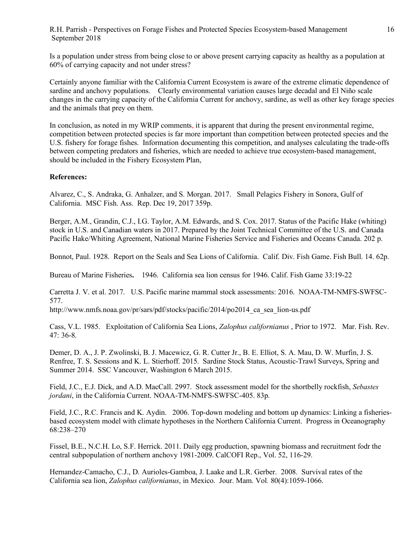Is a population under stress from being close to or above present carrying capacity as healthy as a population at 60% of carrying capacity and not under stress?

Certainly anyone familiar with the California Current Ecosystem is aware of the extreme climatic dependence of sardine and anchovy populations. Clearly environmental variation causes large decadal and El Niño scale changes in the carrying capacity of the California Current for anchovy, sardine, as well as other key forage species and the animals that prey on them.

In conclusion, as noted in my WRIP comments, it is apparent that during the present environmental regime, competition between protected species is far more important than competition between protected species and the U.S. fishery for forage fishes. Information documenting this competition, and analyses calculating the trade-offs between competing predators and fisheries, which are needed to achieve true ecosystem-based management, should be included in the Fishery Ecosystem Plan,

# **References:**

Alvarez, C., S. Andraka, G. Anhalzer, and S. Morgan. 2017. Small Pelagics Fishery in Sonora, Gulf of California. MSC Fish. Ass. Rep. Dec 19, 2017 359p.

Berger, A.M., Grandin, C.J., I.G. Taylor, A.M. Edwards, and S. Cox. 2017. Status of the Pacific Hake (whiting) stock in U.S. and Canadian waters in 2017. Prepared by the Joint Technical Committee of the U.S. and Canada Pacific Hake/Whiting Agreement, National Marine Fisheries Service and Fisheries and Oceans Canada. 202 p.

Bonnot, Paul. 1928. Report on the Seals and Sea Lions of California. Calif. Div. Fish Game. Fish Bull. 14. 62p.

Bureau of Marine Fisheries**.** 1946. California sea lion census for 1946. Calif. Fish Game 33:19-22

Carretta J. V. et al. 2017. U.S. Pacific marine mammal stock assessments: 2016. NOAA-TM-NMFS-SWFSC-577.

http://www.nmfs.noaa.gov/pr/sars/pdf/stocks/pacific/2014/po2014\_ca\_sea\_lion-us.pdf

Cass, V.L. 1985. Exploitation of California Sea Lions, *Zalophus californianus* , Prior to 1972. Mar. Fish. Rev. 47: 36-8.

Demer, D. A., J. P. Zwolinski, B. J. Macewicz, G. R. Cutter Jr., B. E. Elliot, S. A. Mau, D. W. Murfin, J. S. Renfree, T. S. Sessions and K. L. Stierhoff. 2015. Sardine Stock Status, Acoustic-Trawl Surveys, Spring and Summer 2014. SSC Vancouver, Washington 6 March 2015.

Field, J.C., E.J. Dick, and A.D. MacCall. 2997. Stock assessment model for the shortbelly rockfish, *Sebastes jordani*, in the California Current. NOAA-TM-NMFS-SWFSC-405. 83p.

Field, J.C., R.C. Francis and K. Aydin. 2006. Top-down modeling and bottom up dynamics: Linking a fisheriesbased ecosystem model with climate hypotheses in the Northern California Current. Progress in Oceanography 68:238–270

Fissel, B.E., N.C.H. Lo, S.F. Herrick. 2011. Daily egg production, spawning biomass and recruitment fodr the central subpopulation of northern anchovy 1981-2009. CalCOFI Rep., Vol. 52, 116-29.

Hernandez-Camacho, C.J., D. Aurioles-Gamboa, J. Laake and L.R. Gerber. 2008. Survival rates of the California sea lion, *Zalophus californianus*, in Mexico. Jour. Mam. Vol. 80(4):1059-1066.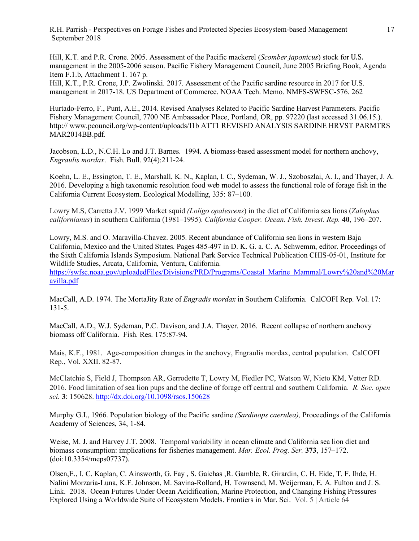Hill, K.T. and P.R. Crone. 2005. Assessment of the Pacific mackerel (*Scomber japonicus*) stock for U.S. management in the 2005-2006 season. Pacific Fishery Management Council, June 2005 Briefing Book, Agenda Item F.1.b, Attachment 1. 167 p.

Hill, K.T., P.R. Crone, J.P. Zwolinski. 2017. Assessment of the Pacific sardine resource in 2017 for U.S. management in 2017-18. US Department of Commerce. NOAA Tech. Memo. NMFS-SWFSC-576. 262

Hurtado-Ferro, F., Punt, A.E., 2014. Revised Analyses Related to Pacific Sardine Harvest Parameters. Pacific Fishery Management Council, 7700 NE Ambassador Place, Portland, OR, pp. 97220 (last accessed 31.06.15.). http:// www.pcouncil.org/wp-content/uploads/I1b ATT1 REVISED ANALYSIS SARDINE HRVST PARMTRS MAR2014BB.pdf.

Jacobson, L.D., N.C.H. Lo and J.T. Barnes. 1994. A biomass-based assessment model for northern anchovy, *Engraulis mordax*. Fish. Bull. 92(4):211-24.

Koehn, L. E., Essington, T. E., Marshall, K. N., Kaplan, I. C., Sydeman, W. J., Szoboszlai, A. I., and Thayer, J. A. 2016. Developing a high taxonomic resolution food web model to assess the functional role of forage fish in the California Current Ecosystem. Ecological Modelling, 335: 87–100.

Lowry M.S, Carretta J.V. 1999 Market squid *(Loligo opalescens*) in the diet of California sea lions (*Zalophus californianus*) in southern California (1981–1995). *California Cooper. Ocean. Fish. Invest. Rep.* **40**, 196–207.

Lowry, M.S. and O. Maravilla-Chavez. 2005. Recent abundance of California sea lions in western Baja California, Mexico and the United States. Pages 485-497 in D. K. G. a. C. A. Schwemm, editor. Proceedings of the Sixth California Islands Symposium. National Park Service Technical Publication CHIS-05-01, Institute for Wildlife Studies, Arcata, California, Ventura, California. https://swfsc.noaa.gov/uploadedFiles/Divisions/PRD/Programs/Coastal\_Marine\_Mammal/Lowry%20and%20Mar

MacCall, A.D. 1974. The MortaJity Rate of *Engradis mordax* in Southern California. CalCOFI Rep. Vol. 17: 131-5.

avilla.pdf

MacCall, A.D., W.J. Sydeman, P.C. Davison, and J.A. Thayer. 2016. Recent collapse of northern anchovy biomass off California. Fish. Res. 175:87-94.

Mais, K.F., 1981. Age-composition changes in the anchovy, Engraulis mordax, central population. CalCOFI Rep., Vol. XXII. 82-87.

McClatchie S, Field J, Thompson AR, Gerrodette T, Lowry M, Fiedler PC, Watson W, Nieto KM, Vetter RD. 2016. Food limitation of sea lion pups and the decline of forage off central and southern California. *R. Soc. open sci.* **3**: 150628. http://dx.doi.org/10.1098/rsos.150628

Murphy G.I., 1966. Population biology of the Pacific sardine *(Sardinops caerulea),* Proceedings of the California Academy of Sciences, 34, 1-84.

Weise, M. J. and Harvey J.T. 2008. Temporal variability in ocean climate and California sea lion diet and biomass consumption: implications for fisheries management. *Mar. Ecol. Prog. Ser.* **373**, 157–172. (doi:10.3354/meps07737).

Olsen,E., I. C. Kaplan, C. Ainsworth, G. Fay , S. Gaichas ,R. Gamble, R. Girardin, C. H. Eide, T. F. Ihde, H. Nalini Morzaria-Luna, K.F. Johnson, M. Savina-Rolland, H. Townsend, M. Weijerman, E. A. Fulton and J. S. Link. 2018. Ocean Futures Under Ocean Acidification, Marine Protection, and Changing Fishing Pressures Explored Using a Worldwide Suite of Ecosystem Models. Frontiers in Mar. Sci. Vol. 5 | Article 64